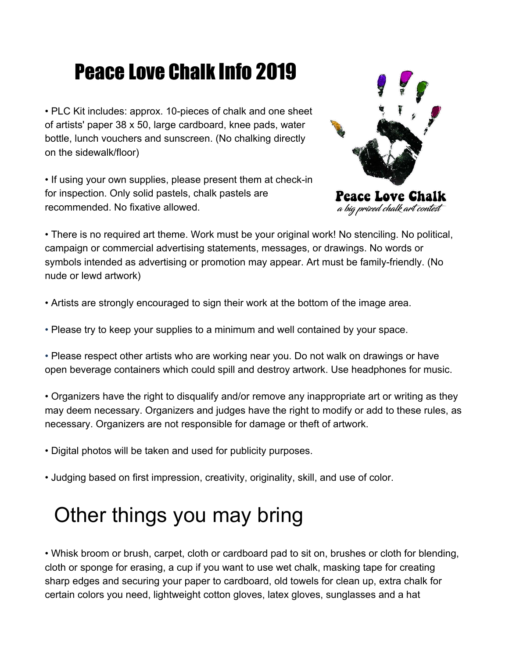# Peace Love Chalk Info 2019

• PLC Kit includes: approx. 10-pieces of chalk and one sheet of artists' paper 38 x 50, large cardboard, knee pads, water bottle, lunch vouchers and sunscreen. (No chalking directly on the sidewalk/floor)

• If using your own supplies, please present them at check-in for inspection. Only solid pastels, chalk pastels are recommended. No fixative allowed.



a big prized chalk art contest

• There is no required art theme. Work must be your original work! No stenciling. No political, campaign or commercial advertising statements, messages, or drawings. No words or symbols intended as advertising or promotion may appear. Art must be family-friendly. (No nude or lewd artwork)

- Artists are strongly encouraged to sign their work at the bottom of the image area.
- Please try to keep your supplies to a minimum and well contained by your space.

• Please respect other artists who are working near you. Do not walk on drawings or have open beverage containers which could spill and destroy artwork. Use headphones for music.

• Organizers have the right to disqualify and/or remove any inappropriate art or writing as they may deem necessary. Organizers and judges have the right to modify or add to these rules, as necessary. Organizers are not responsible for damage or theft of artwork.

- Digital photos will be taken and used for publicity purposes.
- Judging based on first impression, creativity, originality, skill, and use of color.

## Other things you may bring

• Whisk broom or brush, carpet, cloth or cardboard pad to sit on, brushes or cloth for blending, cloth or sponge for erasing, a cup if you want to use wet chalk, masking tape for creating sharp edges and securing your paper to cardboard, old towels for clean up, extra chalk for certain colors you need, lightweight cotton gloves, latex gloves, sunglasses and a hat